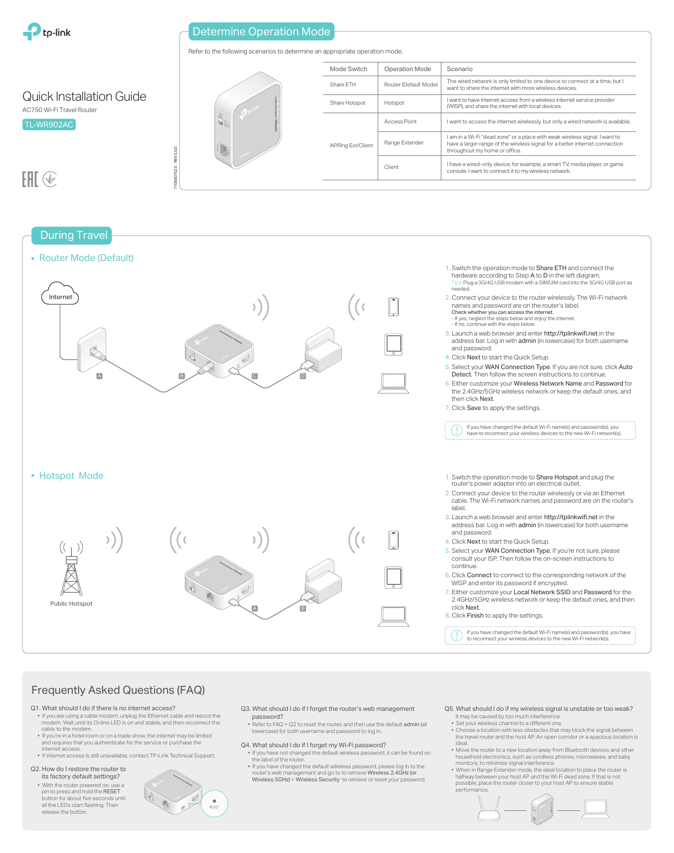

## Determine Operation Mode

Refer to the following scenarios to determine an appropriate operation mode.





## Frequently Asked Questions (FAQ)

- Q1. What should I do if there is no internet access?
- If you are using a cable modem, unplug the Ethernet cable and reboot the modem. Wait until its Online LED is on and stable, and then reconnect the cable to the modem.
- If you're in a hotel room or on a trade show, the internet may be limited and requires that you authenticate for the service or purchase the internet access.
- If internet access is still unavailable, contact TP-Link Technical Support.
- Q2. How do I restore the router to its factory default settings?
- With the router powered on, use a pin to press and hold the RESET button for about five seconds until all the LEDs start flashing. Then release the button.



- Q3. What should I do if I forget the router's web management password?
- Refer to FAQ > Q2 to reset the router, and then use the default admin (all lowercase) for both username and password to log in.
- Q4. What should I do if I forget my Wi-Fi password? • If you have not changed the default wireless password, it can be found on the label of the router
- If you have changed the default wilreless password, please log in to the router's web management and go to to retrieve Wireless 2.4GHz (or Wireless 5GHz) > Wireless Security to retrieve or reset your password.
- Q5. What should I do if my wireless signal is unstable or too weak? It may be caused by too much interference.
- Set your wireless channel to a different one. • Choose a location with less obstacles that may block the signal between the travel router and the host AP. An open corridor or a spacious location is ideal.
- Move the router to a new location away from Bluetooth devices and other household electronics, such as cordless phones, microwaves, and baby monitors, to minimize signal interference.
- When in Range Extender mode, the ideal location to place the router is halfway between your host AP and the Wi-Fi dead zone. If that is not possible, place the router closer to your host AP to ensure stable performance.